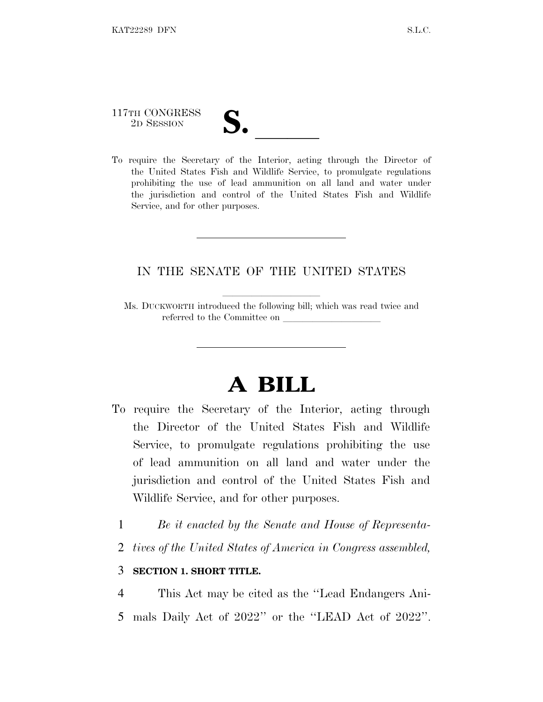# 117TH CONGRESS 117TH CONGRESS<br>
2D SESSION<br>
To require the Secretary of the Interior, acting through the Director of

the United States Fish and Wildlife Service, to promulgate regulations prohibiting the use of lead ammunition on all land and water under the jurisdiction and control of the United States Fish and Wildlife Service, and for other purposes.

### IN THE SENATE OF THE UNITED STATES

Ms. DUCKWORTH introduced the following bill; which was read twice and referred to the Committee on

## **A BILL**

- To require the Secretary of the Interior, acting through the Director of the United States Fish and Wildlife Service, to promulgate regulations prohibiting the use of lead ammunition on all land and water under the jurisdiction and control of the United States Fish and Wildlife Service, and for other purposes.
	- 1 *Be it enacted by the Senate and House of Representa-*
	- 2 *tives of the United States of America in Congress assembled,*

#### 3 **SECTION 1. SHORT TITLE.**

4 This Act may be cited as the ''Lead Endangers Ani-5 mals Daily Act of 2022'' or the ''LEAD Act of 2022''.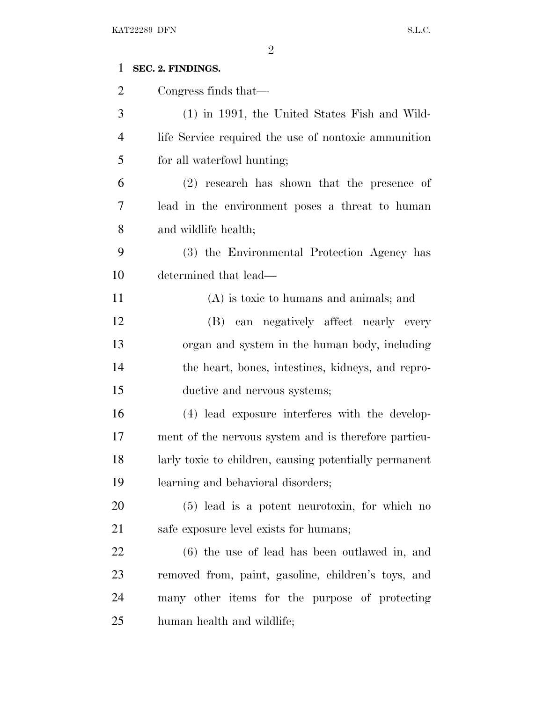### **SEC. 2. FINDINGS.**

| $\overline{2}$ | Congress finds that—                                   |
|----------------|--------------------------------------------------------|
| 3              | $(1)$ in 1991, the United States Fish and Wild-        |
| $\overline{4}$ | life Service required the use of nontoxic ammunition   |
| 5              | for all waterfowl hunting;                             |
| 6              | (2) research has shown that the presence of            |
| 7              | lead in the environment poses a threat to human        |
| 8              | and wildlife health;                                   |
| 9              | (3) the Environmental Protection Agency has            |
| 10             | determined that lead—                                  |
| 11             | $(A)$ is toxic to humans and animals; and              |
| 12             | (B) can negatively affect nearly every                 |
| 13             | organ and system in the human body, including          |
| 14             | the heart, bones, intestines, kidneys, and repro-      |
| 15             | ductive and nervous systems;                           |
| 16             | (4) lead exposure interferes with the develop-         |
| 17             | ment of the nervous system and is therefore particu-   |
| 18             | larly toxic to children, causing potentially permanent |
| 19             | learning and behavioral disorders;                     |
| 20             | $(5)$ lead is a potent neurotoxin, for which no        |
| 21             | safe exposure level exists for humans;                 |
| 22             | $(6)$ the use of lead has been outlawed in, and        |
| 23             | removed from, paint, gasoline, children's toys, and    |
| 24             | many other items for the purpose of protecting         |
| 25             | human health and wildlife;                             |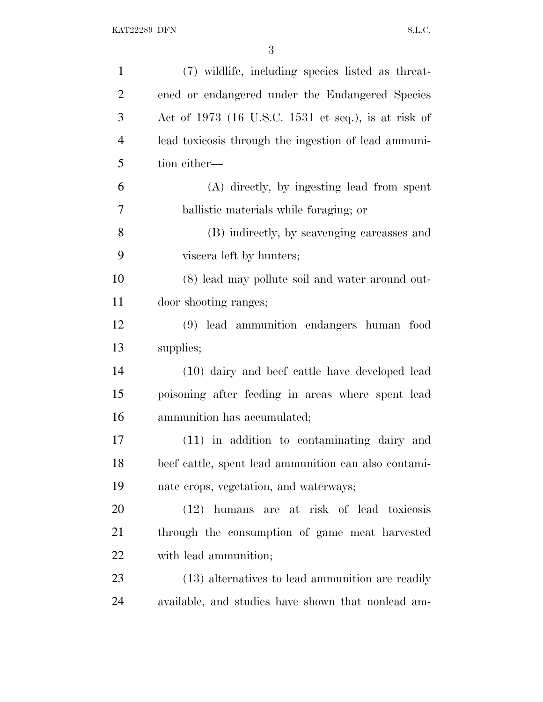| $\mathbf{1}$   | (7) wildlife, including species listed as threat-    |
|----------------|------------------------------------------------------|
| $\overline{2}$ | ened or endangered under the Endangered Species      |
| 3              | Act of 1973 (16 U.S.C. 1531 et seq.), is at risk of  |
| $\overline{4}$ | lead toxicosis through the ingestion of lead ammuni- |
| 5              | tion either—                                         |
| 6              | (A) directly, by ingesting lead from spent           |
| 7              | ballistic materials while foraging; or               |
| 8              | (B) indirectly, by scavenging carcasses and          |
| 9              | viscera left by hunters;                             |
| 10             | (8) lead may pollute soil and water around out-      |
| 11             | door shooting ranges;                                |
| 12             | (9) lead ammunition endangers human food             |
| 13             | supplies;                                            |
| 14             | (10) dairy and beef cattle have developed lead       |
| 15             | poisoning after feeding in areas where spent lead    |
| 16             | ammunition has accumulated;                          |
| 17             | (11) in addition to contaminating dairy and          |
| 18             | beef cattle, spent lead ammunition can also contami- |
| 19             | nate crops, vegetation, and waterways;               |
| <b>20</b>      | (12) humans are at risk of lead toxicosis            |
| 21             | through the consumption of game meat harvested       |
| 22             | with lead ammunition;                                |
| 23             | (13) alternatives to lead ammunition are readily     |
| 24             | available, and studies have shown that nonlead am-   |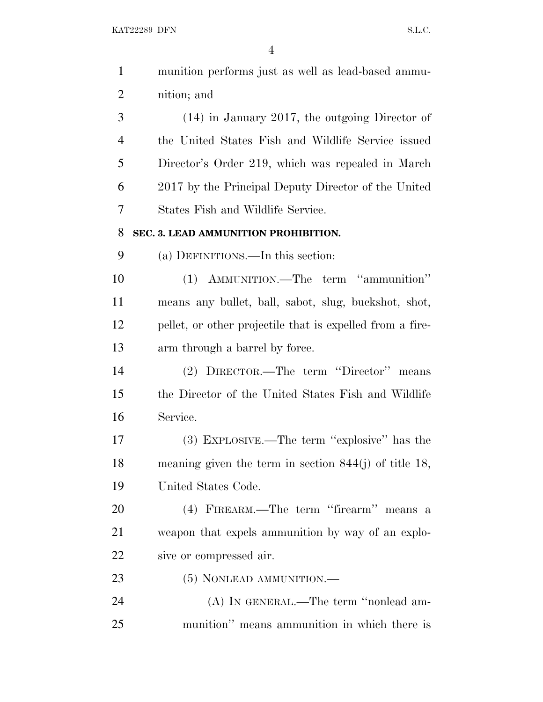KAT22289 DFN S.L.C.

| $\mathbf{1}$   | munition performs just as well as lead-based ammu-        |
|----------------|-----------------------------------------------------------|
| $\overline{2}$ | nition; and                                               |
| 3              | $(14)$ in January 2017, the outgoing Director of          |
| $\overline{4}$ | the United States Fish and Wildlife Service issued        |
| 5              | Director's Order 219, which was repealed in March         |
| 6              | 2017 by the Principal Deputy Director of the United       |
| 7              | States Fish and Wildlife Service.                         |
| 8              | SEC. 3. LEAD AMMUNITION PROHIBITION.                      |
| 9              | (a) DEFINITIONS.—In this section:                         |
| 10             | (1) AMMUNITION.—The term "ammunition"                     |
| 11             | means any bullet, ball, sabot, slug, buckshot, shot,      |
| 12             | pellet, or other projectile that is expelled from a fire- |
| 13             | arm through a barrel by force.                            |
| 14             | (2) DIRECTOR.—The term "Director" means                   |
| 15             | the Director of the United States Fish and Wildlife       |
| 16             | Service.                                                  |
| 17             | (3) EXPLOSIVE.—The term "explosive" has the               |
| 18             | meaning given the term in section $844(j)$ of title 18,   |
| 19             | United States Code.                                       |
| 20             | (4) FIREARM.—The term "firearm" means a                   |
| 21             | weapon that expels ammunition by way of an explo-         |
| 22             | sive or compressed air.                                   |
| 23             | (5) NONLEAD AMMUNITION.—                                  |
| 24             | (A) IN GENERAL.—The term "nonlead am-                     |
| 25             | munition" means ammunition in which there is              |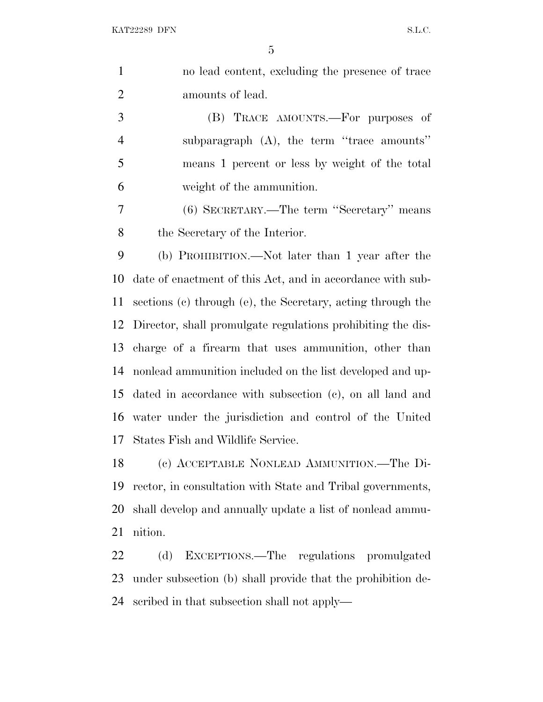| $\mathbf{1}$   | no lead content, excluding the presence of trace            |
|----------------|-------------------------------------------------------------|
| $\overline{2}$ | amounts of lead.                                            |
| 3              | (B) TRACE AMOUNTS.—For purposes of                          |
| $\overline{4}$ | subparagraph $(A)$ , the term "trace amounts"               |
| 5              | means 1 percent or less by weight of the total              |
| 6              | weight of the ammunition.                                   |
| 7              | (6) SECRETARY.—The term "Secretary" means                   |
| 8              | the Secretary of the Interior.                              |
| 9              | (b) PROHIBITION.—Not later than 1 year after the            |
| 10             | date of enactment of this Act, and in accordance with sub-  |
| 11             | sections (c) through (e), the Secretary, acting through the |
| 12             | Director, shall promulgate regulations prohibiting the dis- |
| 13             | charge of a firearm that uses ammunition, other than        |
| 14             | nonlead ammunition included on the list developed and up-   |
| 15             | dated in accordance with subsection (c), on all land and    |
| 16             | water under the jurisdiction and control of the United      |
| 17             | States Fish and Wildlife Service.                           |
| 18             | (c) ACCEPTABLE NONLEAD AMMUNITION.-The Di-                  |
| 19             | rector, in consultation with State and Tribal governments,  |
| 20             | shall develop and annually update a list of nonlead ammu-   |
| 21             | nition.                                                     |
| 22             | (d)<br>EXCEPTIONS.—The regulations promulgated              |
|                |                                                             |

 under subsection (b) shall provide that the prohibition de-scribed in that subsection shall not apply—